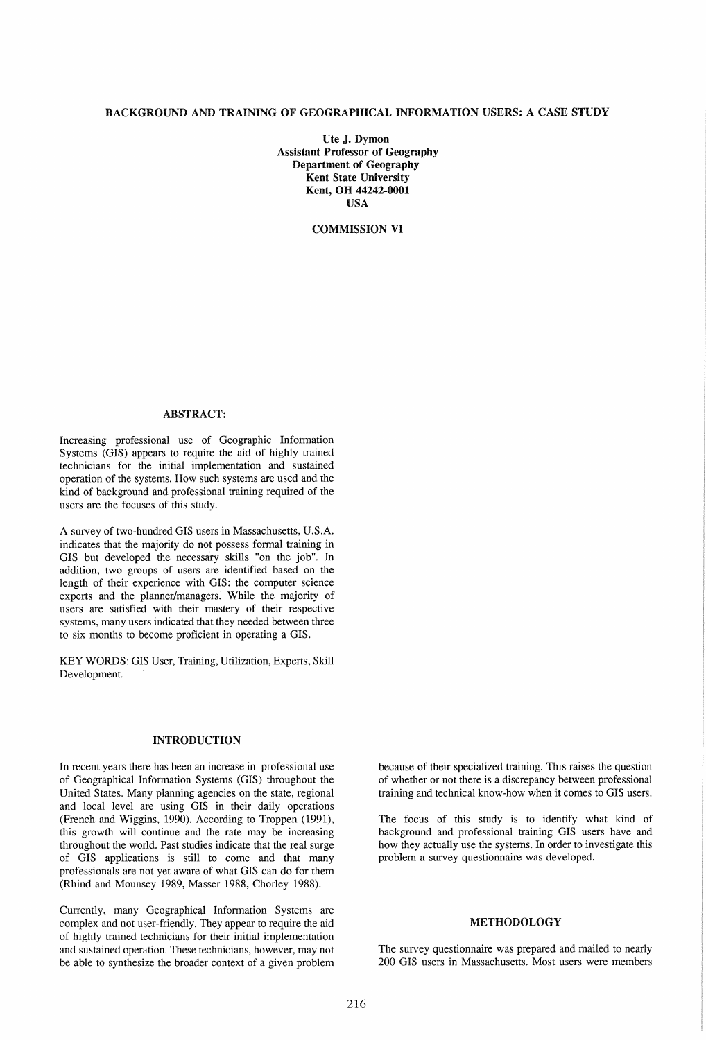# BACKGROUND AND TRAINING OF GEOGRAPHICAL INFORMATION USERS: A CASE STUDY

Ute J. Dymon Assistant Professor of Geography Department of Geography Kent State University Kent, OH 44242-0001 USA

COMMISSION VI

# ABSTRACT:

Increasing professional use of Geographic Infonnation Systems (GIS) appears to require the aid of highly trained technicians for the initial implementation and sustained operation of the systems. How such systems are used and the kind of background and professional training required of the users are the focuses of this study.

A survey of two-hundred GIS users in Massachusetts, U.S.A. indicates that the majority do not possess fonnal training in GIS but developed the necessary skills "on the job". In addition, two groups of users are identified based on the length of their experience with GIS: the computer science experts and the planner/managers. While the majority of users are satisfied with their mastery of their respective systems, many users indicated that they needed between three to six months to become proficient in operating a GIS.

KEY WORDS: GIS User, Training, Utilization, Experts, Skill Development.

## INTRODUCTION

In recent years there has been an increase in professional use of Geographical Information Systems (GIS) throughout the United States. Many planning agencies on the state, regional and local level are using GIS in their daily operations (French and Wiggins, 1990). According to Troppen (1991), this growth will continue and the rate may be increasing throughout the world. Past studies indicate that the real surge of GIS applications is still to come and that many professionals are not yet aware of what GIS can do for them (Rhind and Mounsey 1989, Masser 1988, Chorley 1988).

Currently, many Geographical Information Systems are complex and not user-friendly. They appear to require the aid of highly trained technicians for their initial implementation and sustained operation. These technicians, however, may not be able to synthesize the broader context of a given problem

because of their specialized training. This raises the question of whether or not there is a discrepancy between professional training and technical know-how when it comes to GIS users.

The focus of this study is to identify what kind of background and professional training GIS users have and how they actually use the systems. In order to investigate this problem a survey questionnaire was developed.

### METHODOLOGY

The survey questionnaire was prepared and mailed to nearly 200 GIS users in Massachusetts. Most users were members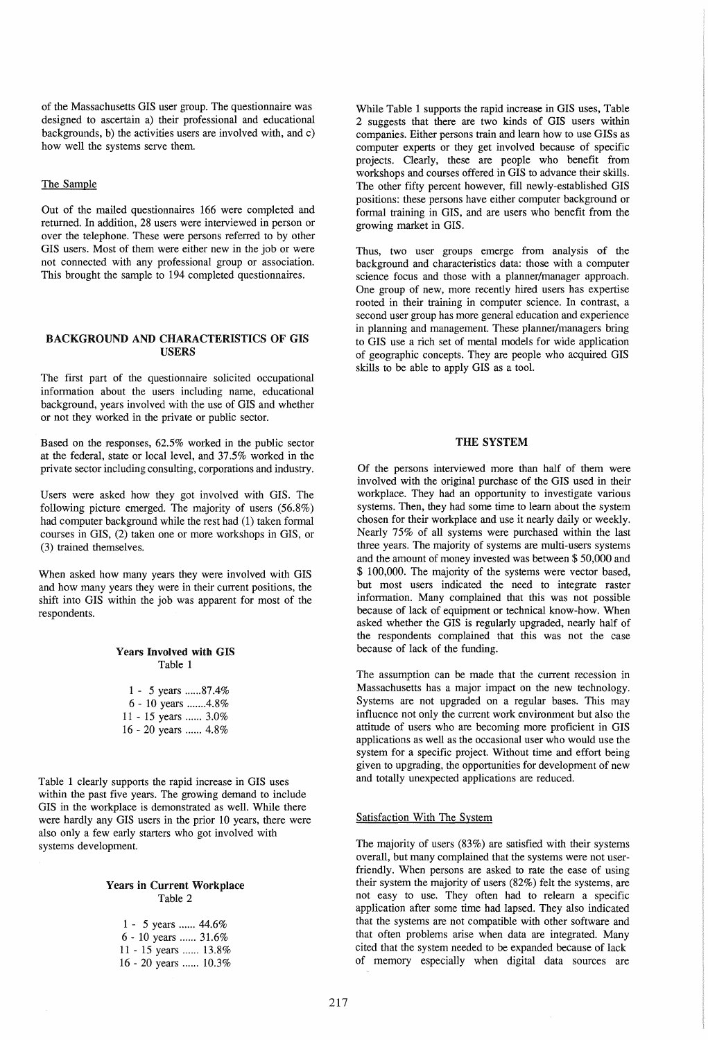of the Massachusetts GIS user group. The questionnaire was designed to ascertain a) their professional and educational backgrounds, b) the activities users are involved with, and c) how well the systems serve them.

## The Sample

Out of the mailed questionnaires 166 were completed and returned. In addition, 28 users were interviewed in person or over the telephone. These were persons referred to by other GIS users. Most of them were either new in the job or were not connected with any professional group or association. This brought the sample to 194 completed questionnaires.

# BACKGROUND AND CHARACTERISTICS OF GIS USERS

The first part of the questionnaire solicited occupational information about the users including name, educational background, years involved with the use of GIS and whether or not they worked in the private or public sector.

Based on the responses, 62.5% worked in the public sector at the federal, state or local level, and 37.5% worked in the private sector including consulting, corporations and industry.

Users were asked how they got involved with GIS. The following picture emerged. The majority of users (56.8%) had computer background while the rest had (1) taken formal courses in GIS, (2) taken one or more workshops in GIS, or (3) trained themselves.

When asked how many years they were involved with GIS and how many years they were in their current positions, the shift into GIS within the job was apparent for most of the respondents.

#### Years Involved with GIS Table 1

|  | 1 - 5 years 87.4%   |
|--|---------------------|
|  | 6 - 10 years 4.8\%  |
|  | 11 - 15 years  3.0% |
|  | 16 - 20 years  4.8% |

Table 1 clearly supports the rapid increase in GIS uses within the past five years. The growing demand to include GIS in the workplace is demonstrated as well. While there were hardly any GIS users in the prior 10 years, there were also only a few early starters who got involved with systems development.

# Years in Current Workplace Table 2

| 1 - 5 years $44.6\%$  |  |
|-----------------------|--|
| $6 - 10$ years  31.6% |  |
| 11 - 15 years  13.8%  |  |
| 16 - 20 years  10.3%  |  |

While Table 1 supports the rapid increase in GIS uses, Table 2 suggests that there are two kinds of GIS users within companies. Either persons train and learn how to use GISs as computer experts or they get involved because of specific projects. Clearly, these are people who benefit from workshops and courses offered in GIS to advance their skills. The other fifty percent however, fill newly-established GIS positions: these persons have either computer background or formal training in GIS, and are users who benefit from the growing market in GIS.

Thus, two user groups emerge from analysis of the background and characteristics data: those with a computer science focus and those with a planner/manager approach. One group of new, more recently hired users has expertise rooted in their training in computer science. In contrast, a second user group has more general education and experience in planning and management. These planner/managers bring to GIS use a rich set of mental models for wide application of geographic concepts. They are people who acquired GIS skills to be able to apply GIS as a tool.

# THE SYSTEM

Of the persons interviewed more than half of them were involved with the original purchase of the GIS used in their workplace. They had an opportunity to investigate various systems. Then, they had some time to learn about the system chosen for their workplace and use it nearly daily or weekly. Nearly 75% of all systems were purchased within the last three years. The majority of systems are multi-users systems and the amount of money invested was between \$ 50,000 and \$ 100,000. The majority of the systems were vector based, but most users indicated the need to integrate raster information. Many complained that this was not possible because of lack of equipment or technical know-how. When asked whether the GIS is regularly upgraded, nearly half of the respondents complained that this was not the case because of lack of the funding.

The assumption can be made that the current recession in Massachusetts has a major impact on the new technology. Systems are not upgraded on a regular bases. This may influence not only the current work environment but also the attitude of users who are becoming more proficient in GIS applications as well as the occasional user who would use the system for a specific project. Without time and effort being given to upgrading, the opportunities for development of new and totally unexpected applications are reduced.

#### Satisfaction With The System

The majority of users (83%) are satisfied with their systems overall, but many complained that the systems were not userfriendly. When persons are asked to rate the ease of using their system the majority of users (82%) felt the systems, are not easy to use. They often had to relearn a specific application after some time had lapsed. They also indicated that the systems are not compatible with other software and that often problems arise when data are integrated. Many cited that the system needed to be expanded because of lack of memory especially when digital data sources are